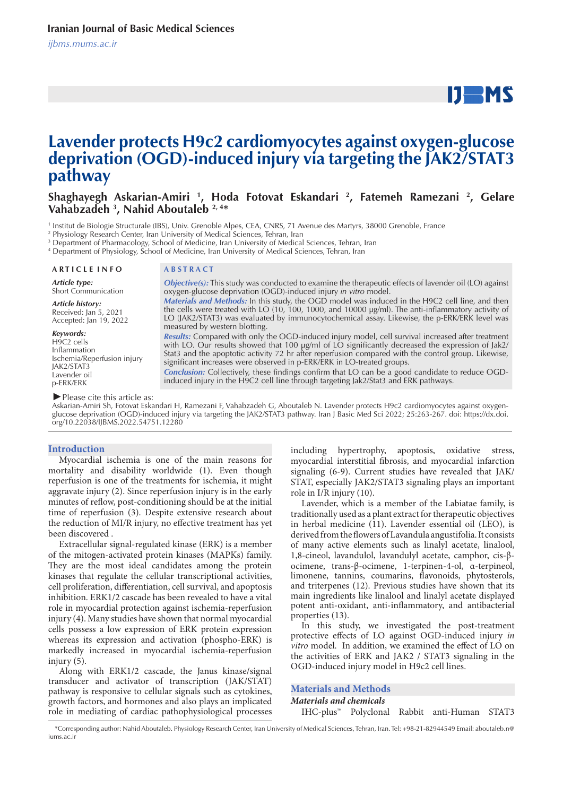# $IJ$  MS

## **Lavender protects H9c2 cardiomyocytes against oxygen-glucose deprivation (OGD)-induced injury via targeting the JAK2/STAT3 pathway**

## **Shaghayegh Askarian-Amiri 1 , Hoda Fotovat Eskandari 2 , Fatemeh Ramezani 2 , Gelare Vahabzadeh 3 , Nahid Aboutaleb 2, 4\***

1 Institut de Biologie Structurale (IBS), Univ. Grenoble Alpes, CEA, CNRS, 71 Avenue des Martyrs, 38000 Grenoble, France

2 Physiology Research Center, Iran University of Medical Sciences, Tehran, Iran

3 Department of Pharmacology, School of Medicine, Iran University of Medical Sciences, Tehran, Iran

4 Department of Physiology, School of Medicine, Iran University of Medical Sciences, Tehran, Iran

*Article type:*

Short Communication

*Article history:* Received: Jan 5, 2021 Accepted: Jan 19, 2022

*Keywords:* H<sub>9</sub>C<sub>2</sub> cells Inflammation Ischemia/Reperfusion injury JAK2/STAT3 Lavender oil p-ERK/ERK

## **A R T I C L E I N F O A B S T R A C T**

*Objective(s):* This study was conducted to examine the therapeutic effects of lavender oil (LO) against oxygen-glucose deprivation (OGD)-induced injury *in vitro* model.

*Materials and Methods:* In this study, the OGD model was induced in the H9C2 cell line, and then the cells were treated with LO (10, 100, 1000, and 10000 μg/ml). The anti-inflammatory activity of LO (JAK2/STAT3) was evaluated by immunocytochemical assay. Likewise, the p-ERK/ERK level was measured by western blotting.

*Results:* Compared with only the OGD-induced injury model, cell survival increased after treatment with LO. Our results showed that 100 μg/ml of LO significantly decreased the expression of Jak2/ Stat3 and the apoptotic activity 72 hr after reperfusion compared with the control group. Likewise, significant increases were observed in p-ERK/ERK in LO-treated groups.

*Conclusion:* Collectively, these findings confirm that LO can be a good candidate to reduce OGDinduced injury in the H9C2 cell line through targeting Jak2/Stat3 and ERK pathways.

*►*Please cite this article as:

Askarian-Amiri Sh, Fotovat Eskandari H, Ramezani F, Vahabzadeh G, Aboutaleb N. Lavender protects H9c2 cardiomyocytes against oxygenglucose deprivation (OGD)-induced injury via targeting the JAK2/STAT3 pathway. Iran J Basic Med Sci 2022; 25:263-267. doi: https://dx.doi. org/10.22038/IJBMS.2022.54751.12280

## **Introduction**

Myocardial ischemia is one of the main reasons for mortality and disability worldwide (1). Even though reperfusion is one of the treatments for ischemia, it might aggravate injury (2). Since reperfusion injury is in the early minutes of reflow, post-conditioning should be at the initial time of reperfusion (3). Despite extensive research about the reduction of MI/R injury, no effective treatment has yet been discovered .

Extracellular signal-regulated kinase (ERK) is a member of the mitogen-activated protein kinases (MAPKs) family. They are the most ideal candidates among the protein kinases that regulate the cellular transcriptional activities, cell proliferation, differentiation, cell survival, and apoptosis inhibition. ERK1/2 cascade has been revealed to have a vital role in myocardial protection against ischemia-reperfusion injury (4). Many studies have shown that normal myocardial cells possess a low expression of ERK protein expression whereas its expression and activation (phospho-ERK) is markedly increased in myocardial ischemia-reperfusion injury (5).

Along with ERK1/2 cascade, the Janus kinase/signal transducer and activator of transcription (JAK/STAT) pathway is responsive to cellular signals such as cytokines, growth factors, and hormones and also plays an implicated role in mediating of cardiac pathophysiological processes

including hypertrophy, apoptosis, oxidative stress, myocardial interstitial fibrosis, and myocardial infarction signaling (6-9). Current studies have revealed that JAK/ STAT, especially JAK2/STAT3 signaling plays an important role in I/R injury (10).

Lavender, which is a member of the Labiatae family, is traditionally used as a plant extract for therapeutic objectives in herbal medicine (11). Lavender essential oil (LEO), is derived from the flowers of Lavandula angustifolia. It consists of many active elements such as linalyl acetate, linalool, 1,8-cineol, lavandulol, lavandulyl acetate, camphor, cis-βocimene, trans-β-ocimene, 1-terpinen-4-ol, α-terpineol, limonene, tannins, coumarins, flavonoids, phytosterols, and triterpenes (12). Previous studies have shown that its main ingredients like linalool and linalyl acetate displayed potent anti-oxidant, anti-inflammatory, and antibacterial properties (13).

In this study, we investigated the post-treatment protective effects of LO against OGD-induced injury *in vitro* model. In addition, we examined the effect of LO on the activities of ERK and JAK2 / STAT3 signaling in the OGD-induced injury model in H9c2 cell lines.

**Materials and Methods** *Materials and chemicals* IHC-plus™ Polyclonal Rabbit anti-Human STAT3

 <sup>\*</sup>Corresponding author: Nahid Aboutaleb. Physiology Research Center, Iran University of Medical Sciences, Tehran, Iran. Tel: +98-21-82944549 Email: aboutaleb.n@ iums.ac.ir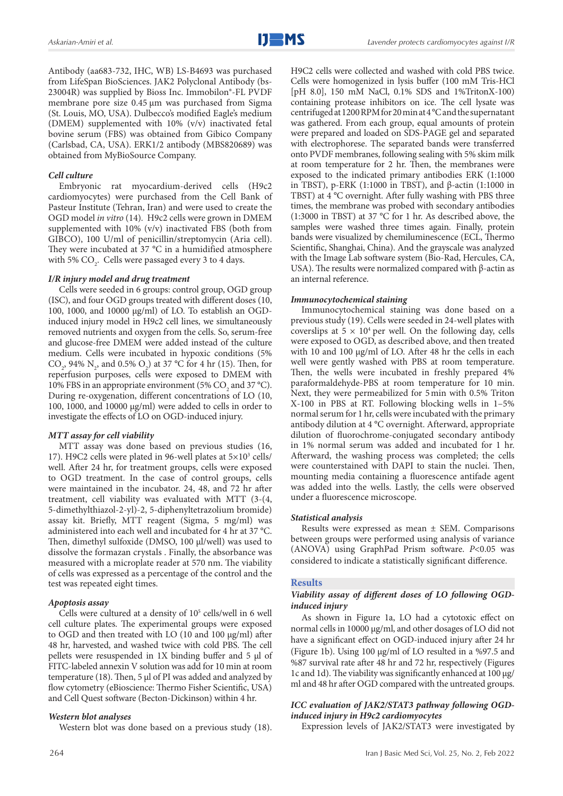Antibody (aa683-732, IHC, WB) LS-B4693 was purchased from LifeSpan BioSciences. JAK2 Polyclonal Antibody (bs-23004R) was supplied by Bioss Inc. Immobilon®-FL PVDF membrane pore size 0.45 μm was purchased from Sigma (St. Louis, MO, USA). Dulbecco's modified Eagle's medium (DMEM) supplemented with 10% (v/v) inactivated fetal bovine serum (FBS) was obtained from Gibico Company (Carlsbad, CA, USA). ERK1/2 antibody (MBS820689) was obtained from MyBioSource Company.

## *Cell culture*

Embryonic rat myocardium-derived cells (H9c2 cardiomyocytes) were purchased from the Cell Bank of Pasteur Institute (Tehran, Iran) and were used to create the OGD model *in vitro* (14)*.* H9c2 cells were grown in DMEM supplemented with 10% (v/v) inactivated FBS (both from GIBCO), 100 U/ml of penicillin/streptomycin (Aria cell). They were incubated at 37 °C in a humidified atmosphere with 5%  $\text{CO}_2$ . Cells were passaged every 3 to 4 days.

## *I/R injury model and drug treatment*

Cells were seeded in 6 groups: control group, OGD group (ISC), and four OGD groups treated with different doses (10, 100, 1000, and 10000 μg/ml) of LO. To establish an OGDinduced injury model in H9c2 cell lines, we simultaneously removed nutrients and oxygen from the cells. So, serum-free and glucose-free DMEM were added instead of the culture medium. Cells were incubated in hypoxic conditions (5% CO<sub>2</sub>, 94% N<sub>2</sub>, and 0.5% O<sub>2</sub>) at 37 °C for 4 hr (15). Then, for reperfusion purposes, cells were exposed to DMEM with 10% FBS in an appropriate environment (5%  $CO<sub>2</sub>$  and 37 °C). During re-oxygenation, different concentrations of LO (10, 100, 1000, and 10000 µg/ml) were added to cells in order to investigate the effects of LO on OGD-induced injury.

#### *MTT assay for cell viability*

MTT assay was done based on previous studies (16, 17). H9C2 cells were plated in 96-well plates at  $5\times10^3$  cells/ well. After 24 hr, for treatment groups, cells were exposed to OGD treatment. In the case of control groups, cells were maintained in the incubator. 24, 48, and 72 hr after treatment, cell viability was evaluated with MTT (3-(4, 5-dimethylthiazol-2-yl)-2, 5-diphenyltetrazolium bromide) assay kit. Briefly, MTT reagent (Sigma, 5 mg/ml) was administered into each well and incubated for 4 hr at 37 °C. Then, dimethyl sulfoxide (DMSO, 100 μl/well) was used to dissolve the formazan crystals . Finally, the absorbance was measured with a microplate reader at 570 nm. The viability of cells was expressed as a percentage of the control and the test was repeated eight times.

## *Apoptosis assay*

Cells were cultured at a density of 10<sup>5</sup> cells/well in 6 well cell culture plates. The experimental groups were exposed to OGD and then treated with LO (10 and 100 μg/ml) after 48 hr, harvested, and washed twice with cold PBS. The cell pellets were resuspended in 1X binding buffer and 5 µl of FITC-labeled annexin V solution was add for 10 min at room temperature (18). Then, 5 µl of PI was added and analyzed by flow cytometry (eBioscience: Thermo Fisher Scientific, USA) and Cell Quest software (Becton-Dickinson) within 4 hr.

## *Western blot analyses*

Western blot was done based on a previous study (18).

H9C2 cells were collected and washed with cold PBS twice. Cells were homogenized in lysis buffer (100 mM Tris-HCl [pH 8.0], 150 mM NaCl, 0.1% SDS and 1%TritonX-100) containing protease inhibitors on ice. The cell lysate was centrifuged at 1200 RPM for 20 min at 4 °C and the supernatant was gathered. From each group, equal amounts of protein were prepared and loaded on SDS-PAGE gel and separated with electrophorese. The separated bands were transferred onto PVDF membranes, following sealing with 5% skim milk at room temperature for 2 hr. Then, the membranes were exposed to the indicated primary antibodies ERK (1:1000 in TBST), p-ERK (1:1000 in TBST), and β-actin (1:1000 in TBST) at 4 °C overnight. After fully washing with PBS three times, the membrane was probed with secondary antibodies (1:3000 in TBST) at 37 °C for 1 hr. As described above, the samples were washed three times again. Finally, protein bands were visualized by chemiluminescence (ECL, Thermo Scientific, Shanghai, China). And the grayscale was analyzed with the Image Lab software system (Bio-Rad, Hercules, CA, USA). The results were normalized compared with β-actin as an internal reference.

## *Immunocytochemical staining*

Immunocytochemical staining was done based on a previous study (19). Cells were seeded in 24-well plates with coverslips at  $5 \times 10^4$  per well. On the following day, cells were exposed to OGD, as described above, and then treated with 10 and 100 μg/ml of LO. After 48 hr the cells in each well were gently washed with PBS at room temperature. Then, the wells were incubated in freshly prepared 4% paraformaldehyde-PBS at room temperature for 10 min. Next, they were permeabilized for 5min with 0.5% Triton X-100 in PBS at RT. Following blocking wells in 1–5% normal serum for 1 hr, cells were incubated with the primary antibody dilution at 4 °C overnight. Afterward, appropriate dilution of fluorochrome-conjugated secondary antibody in 1% normal serum was added and incubated for 1 hr. Afterward, the washing process was completed; the cells were counterstained with DAPI to stain the nuclei. Then, mounting media containing a fluorescence antifade agent was added into the wells. Lastly, the cells were observed under a fluorescence microscope.

### *Statistical analysis*

Results were expressed as mean ± SEM. Comparisons between groups were performed using analysis of variance (ANOVA) using GraphPad Prism software. *P*<0.05 was considered to indicate a statistically significant difference.

## **Results**

## *Viability assay of different doses of LO following OGDinduced injury*

As shown in Figure 1a, LO had a cytotoxic effect on normal cells in 10000 μg/ml, and other dosages of LO did not have a significant effect on OGD-induced injury after 24 hr (Figure 1b). Using 100 μg/ml of LO resulted in a %97.5 and %87 survival rate after 48 hr and 72 hr, respectively (Figures 1c and 1d). The viability was significantly enhanced at 100 μg/ ml and 48 hr after OGD compared with the untreated groups.

## *ICC evaluation of JAK2/STAT3 pathway following OGDinduced injury in H9c2 cardiomyocytes*

Expression levels of JAK2/STAT3 were investigated by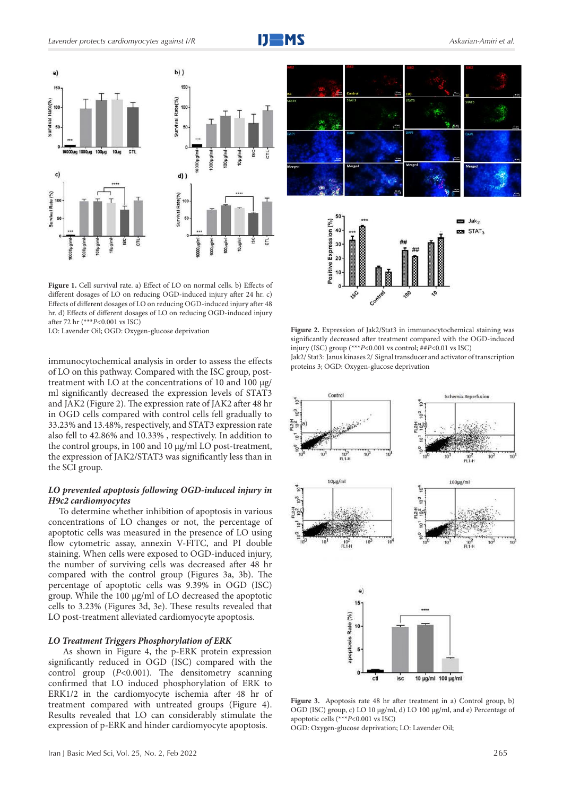

Figure 1. Cell survival rate. a) Effect of LO on normal cells. b) Effects of different dosages of LO on reducing OGD-induced injury after 24 hr. c) Effects of different dosages of LO on reducing OGD-induced injury after 48 hr. d) Effects of different dosages of LO on reducing OGD-induced injury after 72 hr (\*\*\**P*<0.001 vs ISC)<br>LO: Lavender Oil; OGD: Oxygen-glucose deprivation

immunocytochemical analysis in order to assess the effects of LO on this pathway. Compared with the ISC group, posttreatment with LO at the concentrations of 10 and 100 μg/ ml significantly decreased the expression levels of STAT3 and JAK2 (Figure 2). The expression rate of JAK2 after 48 hr in OGD cells compared with control cells fell gradually to 33.23% and 13.48%, respectively, and STAT3 expression rate also fell to 42.86% and 10.33% , respectively. In addition to the control groups, in 100 and 10 μg/ml LO post-treatment, the expression of JAK2/STAT3 was significantly less than in the SCI group.

## *LO prevented apoptosis following OGD-induced injury in H9c2 cardiomyocytes*

To determine whether inhibition of apoptosis in various concentrations of LO changes or not, the percentage of apoptotic cells was measured in the presence of LO using flow cytometric assay, annexin V-FITC, and PI double staining. When cells were exposed to OGD-induced injury, the number of surviving cells was decreased after 48 hr compared with the control group (Figures 3a, 3b). The percentage of apoptotic cells was 9.39% in OGD (ISC) group. While the 100 μg/ml of LO decreased the apoptotic cells to 3.23% (Figures 3d, 3e). These results revealed that LO post-treatment alleviated cardiomyocyte apoptosis.

## *LO Treatment Triggers Phosphorylation of ERK*

 As shown in Figure 4, the p-ERK protein expression significantly reduced in OGD (ISC) compared with the control group (*P*<0.001). The densitometry scanning confirmed that LO induced phosphorylation of ERK to ERK1/2 in the cardiomyocyte ischemia after 48 hr of treatment compared with untreated groups (Figure 4). Results revealed that LO can considerably stimulate the expression of p-ERK and hinder cardiomyocyte apoptosis.







**Figure 3.** Apoptosis rate 48 hr after treatment in a) Control group, b) OGD (ISC) group, c) LO 10 µg/ml, d) LO 100 µg/ml, and e) Percentage of apoptotic cells (\*\*\**P*<0.001 vs ISC)

OGD: Oxygen-glucose deprivation; LO: Lavender Oil;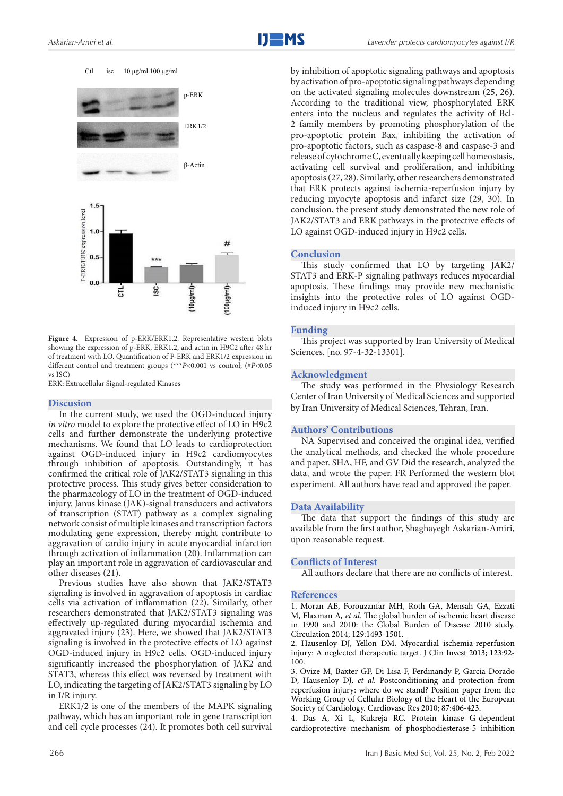Ctl isc  $10 \mu g/ml$  100  $\mu g/ml$ 



Figure 4. Expression of p-ERK/ERK1.2. Representative western blots showing the expression of p-ERK, ERK1.2, and actin in H9C2 after 48 hr of treatment with LO. Quantification of P-ERK and ERK1/2 expression in different control and treatment groups (\*\*\**P*<0.001 vs control; (#*P*<0.05 vs ISC)

ERK: Extracellular Signal-regulated Kinases

#### **Discusion**

In the current study, we used the OGD-induced injury *in vitro* model to explore the protective effect of LO in H9c2 cells and further demonstrate the underlying protective mechanisms. We found that LO leads to cardioprotection against OGD-induced injury in H9c2 cardiomyocytes through inhibition of apoptosis. Outstandingly, it has confirmed the critical role of JAK2/STAT3 signaling in this protective process. This study gives better consideration to the pharmacology of LO in the treatment of OGD-induced injury. Janus kinase (JAK)-signal transducers and activators of transcription (STAT) pathway as a complex signaling network consist of multiple kinases and transcription factors modulating gene expression, thereby might contribute to aggravation of cardio injury in acute myocardial infarction through activation of inflammation (20). Inflammation can play an important role in aggravation of cardiovascular and other diseases (21).

Previous studies have also shown that JAK2/STAT3 signaling is involved in aggravation of apoptosis in cardiac cells via activation of inflammation (22). Similarly, other researchers demonstrated that JAK2/STAT3 signaling was effectively up-regulated during myocardial ischemia and aggravated injury (23). Here, we showed that JAK2/STAT3 signaling is involved in the protective effects of LO against OGD-induced injury in H9c2 cells. OGD-induced injury significantly increased the phosphorylation of JAK2 and STAT3, whereas this effect was reversed by treatment with LO, indicating the targeting of JAK2/STAT3 signaling by LO in I/R injury.

ERK1/2 is one of the members of the MAPK signaling pathway, which has an important role in gene transcription and cell cycle processes (24). It promotes both cell survival by inhibition of apoptotic signaling pathways and apoptosis by activation of pro-apoptotic signaling pathways depending on the activated signaling molecules downstream (25, 26). According to the traditional view, phosphorylated ERK enters into the nucleus and regulates the activity of Bcl-2 family members by promoting phosphorylation of the pro-apoptotic protein Bax, inhibiting the activation of pro-apoptotic factors, such as caspase-8 and caspase-3 and release of cytochrome C, eventually keeping cell homeostasis, activating cell survival and proliferation, and inhibiting apoptosis (27, 28). Similarly, other researchers demonstrated that ERK protects against ischemia-reperfusion injury by reducing myocyte apoptosis and infarct size (29, 30). In conclusion, the present study demonstrated the new role of JAK2/STAT3 and ERK pathways in the protective effects of LO against OGD-induced injury in H9c2 cells.

#### **Conclusion**

This study confirmed that LO by targeting JAK2/ STAT3 and ERK-P signaling pathways reduces myocardial apoptosis. These findings may provide new mechanistic insights into the protective roles of LO against OGDinduced injury in H9c2 cells.

#### **Funding**

This project was supported by Iran University of Medical Sciences. [no. 97-4-32-13301].

#### **Acknowledgment**

The study was performed in the Physiology Research Center of Iran University of Medical Sciences and supported by Iran University of Medical Sciences, Tehran, Iran.

## **Authors' Contributions**

NA Supervised and conceived the original idea, verified the analytical methods, and checked the whole procedure and paper. SHA, HF, and GV Did the research, analyzed the data, and wrote the paper. FR Performed the western blot experiment. All authors have read and approved the paper.

#### **Data Availability**

The data that support the findings of this study are available from the first author, Shaghayegh Askarian-Amiri, upon reasonable request.

#### **Conflicts of Interest**

All authors declare that there are no conflicts of interest.

## **References**

1. Moran AE, Forouzanfar MH, Roth GA, Mensah GA, Ezzati M, Flaxman A*, et al.* The global burden of ischemic heart disease in 1990 and 2010: the Global Burden of Disease 2010 study. Circulation 2014; 129:1493-1501.

2. Hausenloy DJ, Yellon DM. Myocardial ischemia-reperfusion injury: A neglected therapeutic target. J Clin Invest 2013; 123:92- 100.

3. Ovize M, Baxter GF, Di Lisa F, Ferdinandy P, Garcia-Dorado D, Hausenloy DJ*, et al.* Postconditioning and protection from reperfusion injury: where do we stand? Position paper from the Working Group of Cellular Biology of the Heart of the European Society of Cardiology. Cardiovasc Res 2010; 87:406-423.

4. Das A, Xi L, Kukreja RC. Protein kinase G-dependent cardioprotective mechanism of phosphodiesterase-5 inhibition